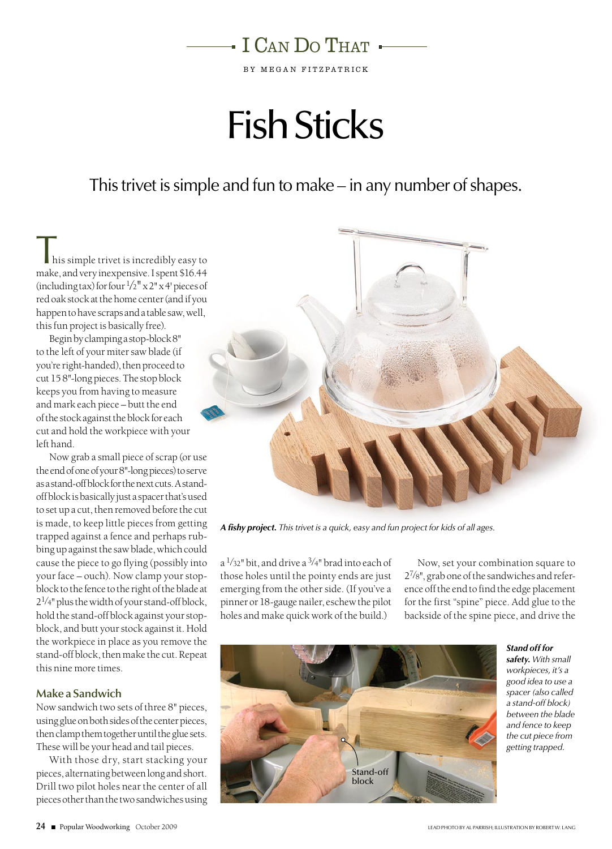

BY MEGAN FITZPATRICK

# Fish Sticks

This trivet is simple and fun to make – in any number of shapes.

 $\blacksquare$  his simple trivet is incredibly easy to make, and very inexpensive. I spent \$16.44 (including tax) for four  $\frac{1}{2}$ " x 2" x 4' pieces of red oak stock at the home center (and if you happen to have scraps and a table saw, well, this fun project is basically free).

Begin by clamping a stop-block 8" to the left of your miter saw blade (if you're right-handed), then proceed to cut 15 8"-long pieces. The stop block keeps you from having to measure and mark each piece – butt the end of the stock against the block for each cut and hold the workpiece with your left hand.

Now grab a small piece of scrap (or use the end of one of your 8"-long pieces) to serve as a stand-off block for the next cuts. A standoff block is basically just a spacer that's used to set up a cut, then removed before the cut is made, to keep little pieces from getting trapped against a fence and perhaps rubbing up against the saw blade, which could cause the piece to go flying (possibly into your face – ouch). Now clamp your stopblock to the fence to the right of the blade at  $2^{1/4}$ " plus the width of your stand-off block, hold the stand-off block against your stopblock, and butt your stock against it. Hold the workpiece in place as you remove the stand-off block, then make the cut. Repeat this nine more times.

### **Make a Sandwich**

Now sandwich two sets of three 8" pieces, using glue on both sides of the center pieces, then clamp them together until the glue sets. These will be your head and tail pieces.

With those dry, start stacking your pieces, alternating between long and short. Drill two pilot holes near the center of all pieces other than the two sandwiches using



*A fishy project. This trivet is a quick, easy and fun project for kids of all ages.*

 $a^{1/32}$ " bit, and drive a  $\frac{3}{4}$ " brad into each of those holes until the pointy ends are just emerging from the other side. (If you've a pinner or 18-gauge nailer, eschew the pilot holes and make quick work of the build.)

Now, set your combination square to 27⁄8", grab one of the sandwiches and reference off the end to find the edge placement for the first "spine" piece. Add glue to the backside of the spine piece, and drive the



*safety. With small workpieces, it's a good idea to use a spacer (also called a stand-off block) between the blade and fence to keep the cut piece from getting trapped.*

*Stand off for*